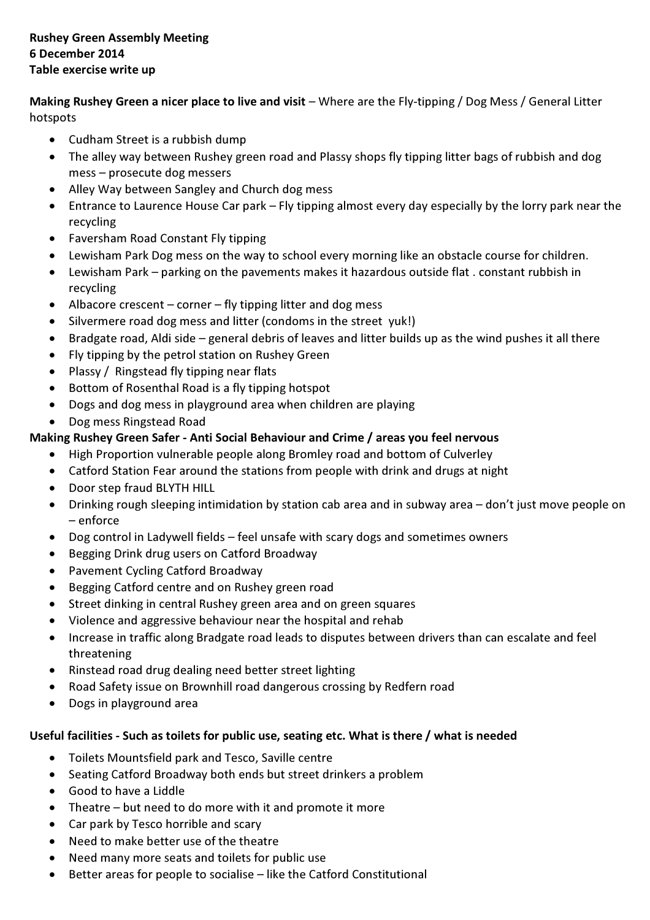Making Rushey Green a nicer place to live and visit – Where are the Fly-tipping / Dog Mess / General Litter hotspots

- Cudham Street is a rubbish dump
- The alley way between Rushey green road and Plassy shops fly tipping litter bags of rubbish and dog mess – prosecute dog messers
- Alley Way between Sangley and Church dog mess
- Entrance to Laurence House Car park Fly tipping almost every day especially by the lorry park near the recycling
- Faversham Road Constant Fly tipping
- Lewisham Park Dog mess on the way to school every morning like an obstacle course for children.
- Lewisham Park parking on the pavements makes it hazardous outside flat . constant rubbish in recycling
- Albacore crescent corner fly tipping litter and dog mess
- Silvermere road dog mess and litter (condoms in the street yuk!)
- Bradgate road, Aldi side general debris of leaves and litter builds up as the wind pushes it all there
- Fly tipping by the petrol station on Rushey Green
- Plassy / Ringstead fly tipping near flats
- Bottom of Rosenthal Road is a fly tipping hotspot
- Dogs and dog mess in playground area when children are playing
- Dog mess Ringstead Road

# Making Rushey Green Safer - Anti Social Behaviour and Crime / areas you feel nervous

- High Proportion vulnerable people along Bromley road and bottom of Culverley
- Catford Station Fear around the stations from people with drink and drugs at night
- Door step fraud BLYTH HILL
- Drinking rough sleeping intimidation by station cab area and in subway area don't just move people on – enforce
- Dog control in Ladywell fields feel unsafe with scary dogs and sometimes owners
- Begging Drink drug users on Catford Broadway
- Pavement Cycling Catford Broadway
- Begging Catford centre and on Rushey green road
- Street dinking in central Rushey green area and on green squares
- Violence and aggressive behaviour near the hospital and rehab
- Increase in traffic along Bradgate road leads to disputes between drivers than can escalate and feel threatening
- Rinstead road drug dealing need better street lighting
- Road Safety issue on Brownhill road dangerous crossing by Redfern road
- Dogs in playground area

## Useful facilities - Such as toilets for public use, seating etc. What is there / what is needed

- Toilets Mountsfield park and Tesco, Saville centre
- Seating Catford Broadway both ends but street drinkers a problem
- Good to have a Liddle
- Theatre but need to do more with it and promote it more
- Car park by Tesco horrible and scary
- Need to make better use of the theatre
- Need many more seats and toilets for public use
- Better areas for people to socialise like the Catford Constitutional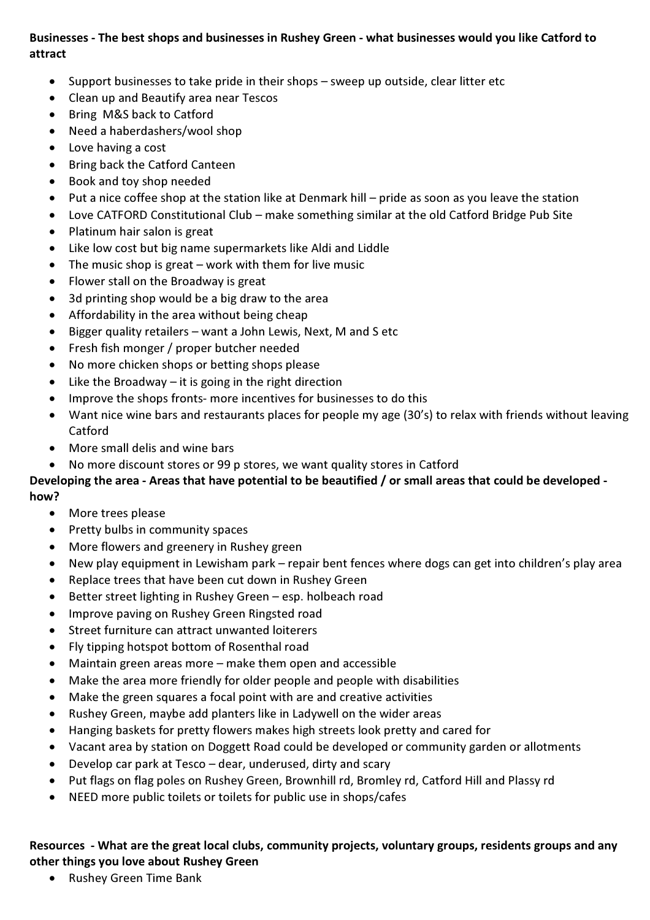### Businesses - The best shops and businesses in Rushey Green - what businesses would you like Catford to attract

- Support businesses to take pride in their shops sweep up outside, clear litter etc
- Clean up and Beautify area near Tescos
- Bring M&S back to Catford
- Need a haberdashers/wool shop
- Love having a cost
- Bring back the Catford Canteen
- Book and toy shop needed
- Put a nice coffee shop at the station like at Denmark hill pride as soon as you leave the station
- Love CATFORD Constitutional Club make something similar at the old Catford Bridge Pub Site
- Platinum hair salon is great
- Like low cost but big name supermarkets like Aldi and Liddle
- The music shop is great work with them for live music
- Flower stall on the Broadway is great
- 3d printing shop would be a big draw to the area
- Affordability in the area without being cheap
- Bigger quality retailers want a John Lewis, Next, M and S etc
- Fresh fish monger / proper butcher needed
- No more chicken shops or betting shops please
- Like the Broadway  $-$  it is going in the right direction
- Improve the shops fronts- more incentives for businesses to do this
- Want nice wine bars and restaurants places for people my age (30's) to relax with friends without leaving Catford
- More small delis and wine bars
- No more discount stores or 99 p stores, we want quality stores in Catford

#### Developing the area - Areas that have potential to be beautified / or small areas that could be developed how?

- More trees please
- Pretty bulbs in community spaces
- More flowers and greenery in Rushey green
- New play equipment in Lewisham park repair bent fences where dogs can get into children's play area
- Replace trees that have been cut down in Rushey Green
- Better street lighting in Rushey Green esp. holbeach road
- Improve paving on Rushey Green Ringsted road
- Street furniture can attract unwanted loiterers
- Fly tipping hotspot bottom of Rosenthal road
- Maintain green areas more  $-$  make them open and accessible
- Make the area more friendly for older people and people with disabilities
- Make the green squares a focal point with are and creative activities
- Rushey Green, maybe add planters like in Ladywell on the wider areas
- Hanging baskets for pretty flowers makes high streets look pretty and cared for
- Vacant area by station on Doggett Road could be developed or community garden or allotments
- Develop car park at Tesco dear, underused, dirty and scary
- Put flags on flag poles on Rushey Green, Brownhill rd, Bromley rd, Catford Hill and Plassy rd
- NEED more public toilets or toilets for public use in shops/cafes

#### Resources - What are the great local clubs, community projects, voluntary groups, residents groups and any other things you love about Rushey Green

• Rushey Green Time Bank